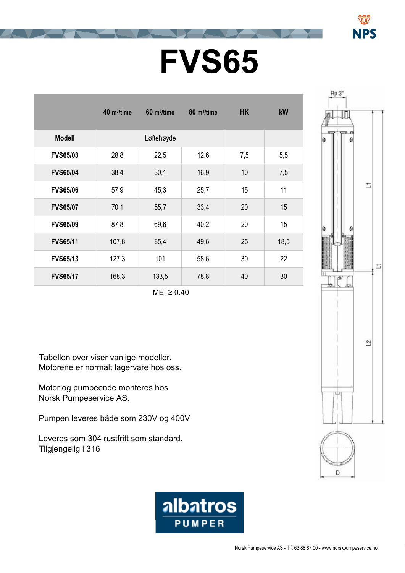## **FVS65 FVS65**

|                 | 40 m <sup>3</sup> /time | 60 m <sup>3</sup> /time | 80 m <sup>3</sup> /time | <b>HK</b> | kW   |
|-----------------|-------------------------|-------------------------|-------------------------|-----------|------|
| <b>Modell</b>   |                         | Løftehøyde              |                         |           |      |
| <b>FVS65/03</b> | 28,8                    | 22,5                    | 12,6                    | 7,5       | 5,5  |
| <b>FVS65/04</b> | 38,4                    | 30,1                    | 16,9                    | 10        | 7,5  |
| <b>FVS65/06</b> | 57,9                    | 45,3                    | 25,7                    | 15        | 11   |
| <b>FVS65/07</b> | 70,1                    | 55,7                    | 33,4                    | 20        | 15   |
| <b>FVS65/09</b> | 87,8                    | 69,6                    | 40,2                    | 20        | 15   |
| <b>FVS65/11</b> | 107,8                   | 85,4                    | 49,6                    | 25        | 18,5 |
| <b>FVS65/13</b> | 127,3                   | 101                     | 58,6                    | 30        | 22   |
| <b>FVS65/17</b> | 168,3                   | 133,5                   | 78,8                    | 40        | 30   |
|                 |                         |                         |                         |           |      |

 $MEI \geq 0.40$ 

Tabellen over viser vanlige modeller. Motorene er normalt lagervare hos oss.

motor og pampoonao montoroo noo<br>Norek Dumpeeerviee AS Norsk Pumpeservice AS. Motor og pumpeende monteres hos

Pumpen leveres både som 230V og 400V

Leveres som 304 rustfritt som standard. Tilgjengelig i 316



NPS

Rp 3"